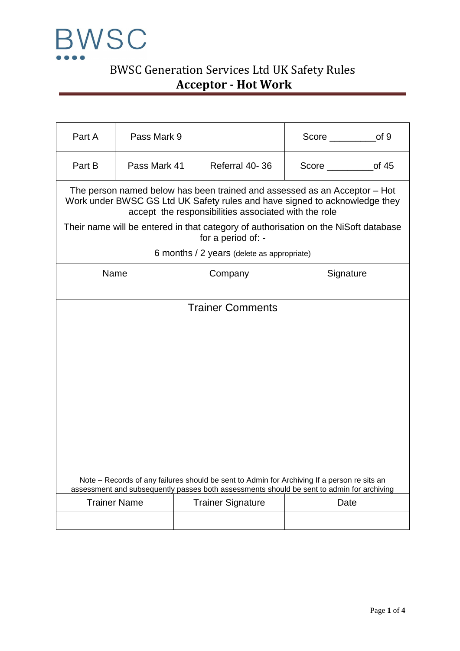

# BWSC Generation Services Ltd UK Safety Rules **Acceptor - Hot Work**

| Part A | Pass Mark 9         |                                                      | of 9                                                                                                                                                                                     |
|--------|---------------------|------------------------------------------------------|------------------------------------------------------------------------------------------------------------------------------------------------------------------------------------------|
| Part B | Pass Mark 41        | Referral 40-36                                       | of $45$<br>Score <b>Score Score</b>                                                                                                                                                      |
|        |                     | accept the responsibilities associated with the role | The person named below has been trained and assessed as an Acceptor – Hot<br>Work under BWSC GS Ltd UK Safety rules and have signed to acknowledge they                                  |
|        |                     | for a period of: -                                   | Their name will be entered in that category of authorisation on the NiSoft database                                                                                                      |
|        |                     | 6 months / 2 years (delete as appropriate)           |                                                                                                                                                                                          |
|        | Name                | Company                                              | Signature                                                                                                                                                                                |
|        |                     | <b>Trainer Comments</b>                              |                                                                                                                                                                                          |
|        |                     |                                                      |                                                                                                                                                                                          |
|        |                     |                                                      |                                                                                                                                                                                          |
|        |                     |                                                      |                                                                                                                                                                                          |
|        |                     |                                                      |                                                                                                                                                                                          |
|        |                     |                                                      |                                                                                                                                                                                          |
|        |                     |                                                      |                                                                                                                                                                                          |
|        |                     |                                                      |                                                                                                                                                                                          |
|        |                     |                                                      |                                                                                                                                                                                          |
|        |                     |                                                      |                                                                                                                                                                                          |
|        |                     |                                                      |                                                                                                                                                                                          |
|        |                     |                                                      | Note – Records of any failures should be sent to Admin for Archiving If a person re sits an<br>assessment and subsequently passes both assessments should be sent to admin for archiving |
|        | <b>Trainer Name</b> | <b>Trainer Signature</b>                             | Date                                                                                                                                                                                     |
|        |                     |                                                      |                                                                                                                                                                                          |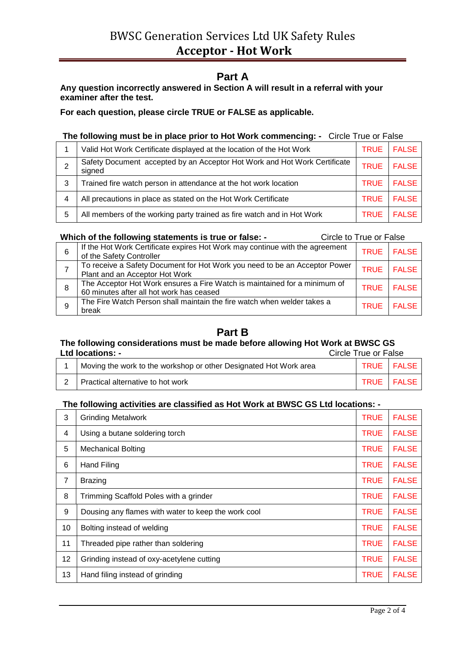## **Part A**

### **Any question incorrectly answered in Section A will result in a referral with your examiner after the test.**

**For each question, please circle TRUE or FALSE as applicable.**

#### **The following must be in place prior to Hot Work commencing: -** Circle True or False

|   | Valid Hot Work Certificate displayed at the location of the Hot Work                | <b>TRUE</b> | <b>FALSE</b> |
|---|-------------------------------------------------------------------------------------|-------------|--------------|
| っ | Safety Document accepted by an Acceptor Hot Work and Hot Work Certificate<br>signed | <b>TRUE</b> | <b>FALSE</b> |
| 3 | Trained fire watch person in attendance at the hot work location                    | <b>TRUE</b> | <b>FALSE</b> |
| 4 | All precautions in place as stated on the Hot Work Certificate                      | <b>TRUE</b> | <b>FALSE</b> |
| 5 | All members of the working party trained as fire watch and in Hot Work              | <b>TRUE</b> | <b>FALSE</b> |

#### **Which of the following statements is true or false: - Circle to True or False**

| 6 | If the Hot Work Certificate expires Hot Work may continue with the agreement<br>of the Safety Controller              | <b>TRUE</b> | <b>FALSE</b> |
|---|-----------------------------------------------------------------------------------------------------------------------|-------------|--------------|
|   | To receive a Safety Document for Hot Work you need to be an Acceptor Power<br>Plant and an Acceptor Hot Work          | <b>TRUE</b> | <b>FALSE</b> |
| 8 | The Acceptor Hot Work ensures a Fire Watch is maintained for a minimum of<br>60 minutes after all hot work has ceased | <b>TRUE</b> | <b>FALSE</b> |
| 9 | The Fire Watch Person shall maintain the fire watch when welder takes a<br>break                                      | <b>TRUE</b> | <b>FALSE</b> |

## **Part B**

## **The following considerations must be made before allowing Hot Work at BWSC GS**

| <b>Ltd locations: -</b> |                                                                   | Circle True or False |              |
|-------------------------|-------------------------------------------------------------------|----------------------|--------------|
|                         | Moving the work to the workshop or other Designated Hot Work area |                      | TRUE   FALSE |
|                         | Practical alternative to hot work                                 |                      | TRUE FALSE   |

### **The following activities are classified as Hot Work at BWSC GS Ltd locations: -**

| 3  | <b>Grinding Metalwork</b>                           | <b>TRUE</b> | <b>FALSE</b> |
|----|-----------------------------------------------------|-------------|--------------|
| 4  | Using a butane soldering torch                      | <b>TRUE</b> | <b>FALSE</b> |
| 5  | <b>Mechanical Bolting</b>                           | <b>TRUE</b> | <b>FALSE</b> |
| 6  | Hand Filing                                         | <b>TRUE</b> | <b>FALSE</b> |
| 7  | <b>Brazing</b>                                      | <b>TRUE</b> | <b>FALSE</b> |
| 8  | Trimming Scaffold Poles with a grinder              | <b>TRUE</b> | <b>FALSE</b> |
| 9  | Dousing any flames with water to keep the work cool | <b>TRUE</b> | <b>FALSE</b> |
| 10 | Bolting instead of welding                          | <b>TRUE</b> | <b>FALSE</b> |
| 11 | Threaded pipe rather than soldering                 | <b>TRUE</b> | <b>FALSE</b> |
| 12 | Grinding instead of oxy-acetylene cutting           | <b>TRUE</b> | <b>FALSE</b> |
| 13 | Hand filing instead of grinding                     | <b>TRUE</b> | <b>FALSE</b> |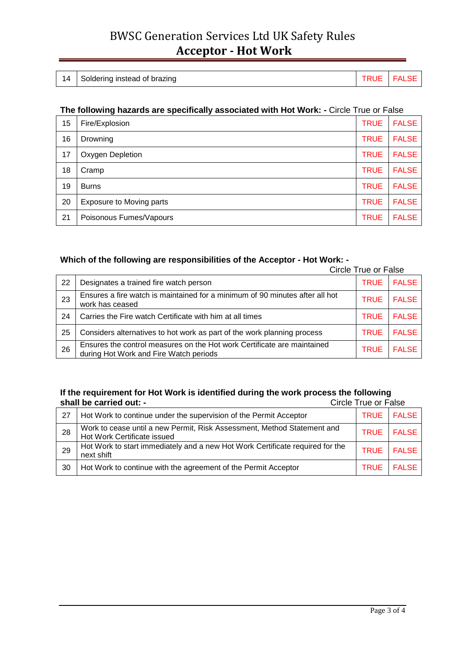# BWSC Generation Services Ltd UK Safety Rules **Acceptor - Hot Work**

| Soldering instead of brazing<br>14<br><b>FALS</b> |  |
|---------------------------------------------------|--|
|---------------------------------------------------|--|

### **The following hazards are specifically associated with Hot Work: -** Circle True or False

| 15 | Fire/Explosion                  | <b>TRUE</b> | <b>FALSE</b> |
|----|---------------------------------|-------------|--------------|
| 16 | Drowning                        | <b>TRUE</b> | <b>FALSE</b> |
| 17 | Oxygen Depletion                | <b>TRUE</b> | <b>FALSE</b> |
| 18 | Cramp                           | <b>TRUE</b> | <b>FALSE</b> |
| 19 | <b>Burns</b>                    | <b>TRUE</b> | <b>FALSE</b> |
| 20 | <b>Exposure to Moving parts</b> | <b>TRUE</b> | <b>FALSE</b> |
| 21 | Poisonous Fumes/Vapours         | <b>TRUE</b> | <b>FALSE</b> |

# **Which of the following are responsibilities of the Acceptor - Hot Work: -**

|    | Circle True or False                                                                                              |             |              |
|----|-------------------------------------------------------------------------------------------------------------------|-------------|--------------|
| 22 | Designates a trained fire watch person                                                                            | <b>TRUE</b> | <b>FALSE</b> |
| 23 | Ensures a fire watch is maintained for a minimum of 90 minutes after all hot<br>work has ceased                   | <b>TRUE</b> | <b>FALSE</b> |
| 24 | Carries the Fire watch Certificate with him at all times                                                          | <b>TRUE</b> | <b>FALSE</b> |
| 25 | Considers alternatives to hot work as part of the work planning process                                           | <b>TRUE</b> | <b>FALSE</b> |
| 26 | Ensures the control measures on the Hot work Certificate are maintained<br>during Hot Work and Fire Watch periods | <b>TRUE</b> | <b>FALSE</b> |

#### **If the requirement for Hot Work is identified during the work process the following**  shall be carried out: -

| 27 | Hot Work to continue under the supervision of the Permit Acceptor                                      |             | TRUE FALSE   |
|----|--------------------------------------------------------------------------------------------------------|-------------|--------------|
| 28 | Work to cease until a new Permit, Risk Assessment, Method Statement and<br>Hot Work Certificate issued |             | TRUE FALSE   |
| 29 | Hot Work to start immediately and a new Hot Work Certificate required for the<br>next shift            | <b>TRUE</b> | <b>FALSE</b> |
| 30 | Hot Work to continue with the agreement of the Permit Acceptor                                         |             | TRUE FALSE   |